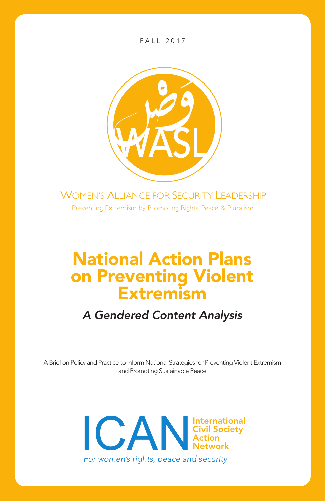

### **WOMEN'S ALLIANCE FOR SECURITY LEADERSHIP**

Preventing Extremism by Promoting Rights, Peace & Pluralism

# National Action Plans on Preventing Violent Extremism

#### *A Gendered Content Analysis*

A Brief on Policy and Practice to Inform National Strategies for Preventing Violent Extremism and Promoting Sustainable Peace

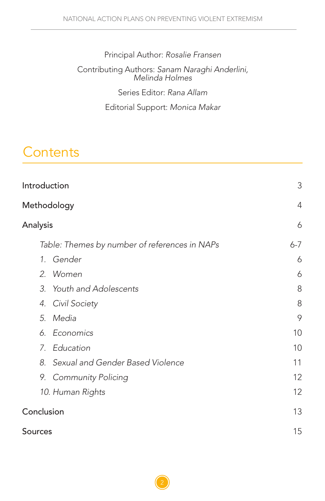Principal Author: *Rosalie Fransen* Contributing Authors: *Sanam Naraghi Anderlini, Melinda Holmes* Series Editor: *Rana Allam*

Editorial Support: *Monica Makar*

### **Contents**

| 3       |
|---------|
| 4       |
| 6       |
| $6 - 7$ |
| 6       |
| 6       |
| 8       |
| 8       |
| 9       |
| 10      |
| 10      |
| 11      |
| 12      |
| 12      |
| 13      |
| 15      |
|         |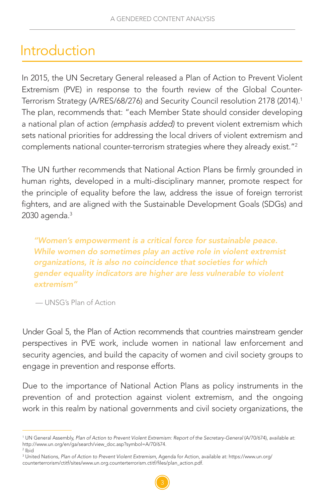# Introduction

In 2015, the UN Secretary General released a Plan of Action to Prevent Violent Extremism (PVE) in response to the fourth review of the Global Counter-Terrorism Strategy (A/RES/68/276) and Security Council resolution 2178 (2014).<sup>1</sup> The plan, recommends that: "each Member State should consider developing a national plan of action *(emphasis added)* to prevent violent extremism which sets national priorities for addressing the local drivers of violent extremism and complements national counter-terrorism strategies where they already exist."2

The UN further recommends that National Action Plans be firmly grounded in human rights, developed in a multi-disciplinary manner, promote respect for the principle of equality before the law, address the issue of foreign terrorist fighters, and are aligned with the Sustainable Development Goals (SDGs) and 2030 agenda. $^3$ 

*"Women's empowerment is a critical force for sustainable peace. While women do sometimes play an active role in violent extremist organizations, it is also no coincidence that societies for which gender equality indicators are higher are less vulnerable to violent extremism"* 

— UNSG's Plan of Action

Under Goal 5, the Plan of Action recommends that countries mainstream gender perspectives in PVE work, include women in national law enforcement and security agencies, and build the capacity of women and civil society groups to engage in prevention and response efforts.

Due to the importance of National Action Plans as policy instruments in the prevention of and protection against violent extremism, and the ongoing work in this realm by national governments and civil society organizations, the

<sup>&</sup>lt;sup>1</sup> UN General Assembly, Plan of Action to Prevent Violent Extremism: Report of the Secretary-General (A/70/674), available at: http://www.un.org/en/ga/search/view\_doc.asp?symbol=A/70/674. <sup>2</sup> Ibid

<sup>3</sup> United Nations, *Plan of Action to Prevent Violent Extremism,* Agenda for Action, available at: https://www.un.org/ counterterrorism/ctitf/sites/www.un.org.counterterrorism.ctitf/files/plan\_action.pdf.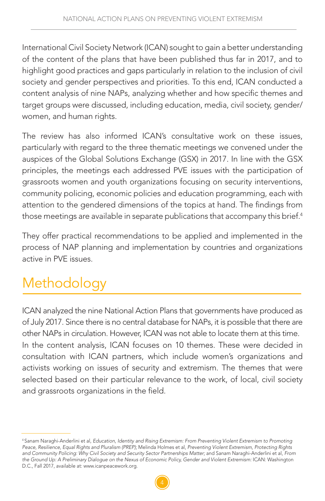International Civil Society Network (ICAN) sought to gain a better understanding of the content of the plans that have been published thus far in 2017, and to highlight good practices and gaps particularly in relation to the inclusion of civil society and gender perspectives and priorities. To this end, ICAN conducted a content analysis of nine NAPs, analyzing whether and how specific themes and target groups were discussed, including education, media, civil society, gender/ women, and human rights.

The review has also informed ICAN's consultative work on these issues, particularly with regard to the three thematic meetings we convened under the auspices of the Global Solutions Exchange (GSX) in 2017. In line with the GSX principles, the meetings each addressed PVE issues with the participation of grassroots women and youth organizations focusing on security interventions, community policing, economic policies and education programming, each with attention to the gendered dimensions of the topics at hand. The findings from those meetings are available in separate publications that accompany this brief.<sup>4</sup>

They offer practical recommendations to be applied and implemented in the process of NAP planning and implementation by countries and organizations active in PVE issues.

# Methodology

ICAN analyzed the nine National Action Plans that governments have produced as of July 2017. Since there is no central database for NAPs, it is possible that there are other NAPs in circulation. However, ICAN was not able to locate them at this time. In the content analysis, ICAN focuses on 10 themes. These were decided in consultation with ICAN partners, which include women's organizations and activists working on issues of security and extremism. The themes that were selected based on their particular relevance to the work, of local, civil society and grassroots organizations in the field.

<sup>4</sup> Sanam Naraghi-Anderlini et al, *Education, Identity and Rising Extremism: From Preventing Violent Extremism to Promoting Peace, Resilience, Equal Rights and Pluralism (PREP);* Melinda Holmes et al, *Preventing Violent Extremism, Protecting Rights and Community Policing: Why Civil Society and Security Sector Partnerships Matter;* and Sanam Naraghi-Anderlini et al, *From the Ground Up: A Preliminary Dialogue on the Nexus of Economic Policy, Gender and Violent Extremism:* ICAN: Washington D.C., Fall 2017, available at: www.icanpeacework.org.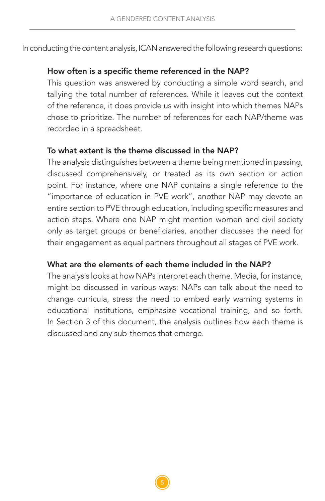In conducting the content analysis, ICAN answered the following research questions:

#### How often is a specific theme referenced in the NAP?

This question was answered by conducting a simple word search, and tallying the total number of references. While it leaves out the context of the reference, it does provide us with insight into which themes NAPs chose to prioritize. The number of references for each NAP/theme was recorded in a spreadsheet.

#### To what extent is the theme discussed in the NAP?

The analysis distinguishes between a theme being mentioned in passing, discussed comprehensively, or treated as its own section or action point. For instance, where one NAP contains a single reference to the "importance of education in PVE work", another NAP may devote an entire section to PVE through education, including specific measures and action steps. Where one NAP might mention women and civil society only as target groups or beneficiaries, another discusses the need for their engagement as equal partners throughout all stages of PVE work.

#### What are the elements of each theme included in the NAP?

The analysis looks at how NAPs interpret each theme. Media, for instance, might be discussed in various ways: NAPs can talk about the need to change curricula, stress the need to embed early warning systems in educational institutions, emphasize vocational training, and so forth. In Section 3 of this document, the analysis outlines how each theme is discussed and any sub-themes that emerge.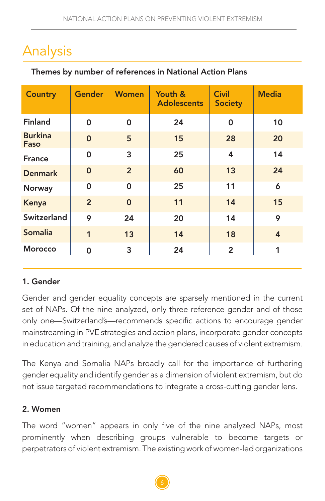# Analysis

| Themes by number of references in National Action Plans |  |  |
|---------------------------------------------------------|--|--|
|---------------------------------------------------------|--|--|

| <b>Country</b>         | <b>Gender</b>  | <b>Women</b>   | Youth &<br><b>Adolescents</b> | <b>Civil</b><br><b>Society</b> | <b>Media</b>   |
|------------------------|----------------|----------------|-------------------------------|--------------------------------|----------------|
| <b>Finland</b>         | $\Omega$       | 0              | 24                            | 0                              | 10             |
| <b>Burkina</b><br>Faso | $\mathbf 0$    | 5              | 15                            | 28                             | 20             |
| <b>France</b>          | $\Omega$       | 3              | 25                            | 4                              | 14             |
| <b>Denmark</b>         | $\mathbf{0}$   | $\overline{2}$ | 60                            | 13                             | 24             |
| Norway                 | 0              | 0              | 25                            | 11                             | 6              |
| Kenya                  | $\overline{2}$ | $\mathbf 0$    | 11                            | 14                             | 15             |
| Switzerland            | 9              | 24             | 20                            | 14                             | 9              |
| <b>Somalia</b>         | $\mathbf{1}$   | 13             | 14                            | 18                             | $\overline{4}$ |
| <b>Morocco</b>         | 0              | 3              | 24                            | $\overline{2}$                 | 1              |

#### 1. Gender

Gender and gender equality concepts are sparsely mentioned in the current set of NAPs. Of the nine analyzed, only three reference gender and of those only one—Switzerland's—recommends specific actions to encourage gender mainstreaming in PVE strategies and action plans, incorporate gender concepts in education and training, and analyze the gendered causes of violent extremism.

The Kenya and Somalia NAPs broadly call for the importance of furthering gender equality and identify gender as a dimension of violent extremism, but do not issue targeted recommendations to integrate a cross-cutting gender lens.

#### 2. Women

The word "women" appears in only five of the nine analyzed NAPs, most prominently when describing groups vulnerable to become targets or perpetrators of violent extremism. The existing work of women-led organizations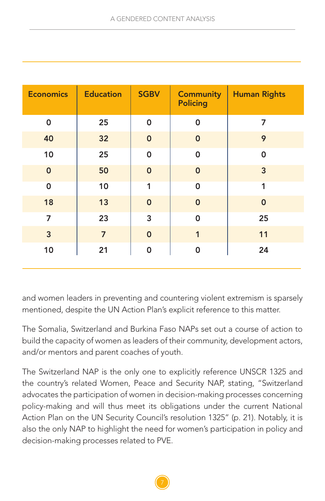| <b>Economics</b> | <b>Education</b> | <b>SGBV</b> | <b>Community</b><br><b>Policing</b> | <b>Human Rights</b> |
|------------------|------------------|-------------|-------------------------------------|---------------------|
| $\mathbf 0$      | 25               | 0           | $\mathbf 0$                         | 7                   |
| 40               | 32               | $\mathbf 0$ | $\mathbf 0$                         | 9                   |
| 10               | 25               | $\mathbf 0$ | $\mathbf 0$                         | $\mathbf 0$         |
| $\mathbf 0$      | 50               | $\mathbf 0$ | $\mathbf 0$                         | 3                   |
| $\mathbf 0$      | 10               | 1           | $\Omega$                            | 1                   |
| 18               | 13               | $\mathbf 0$ | $\mathbf 0$                         | $\mathbf 0$         |
| $\overline{7}$   | 23               | 3           | 0                                   | 25                  |
| $\overline{3}$   | $\overline{7}$   | $\mathbf 0$ | 1                                   | 11                  |
| 10               | 21               | 0           | 0                                   | 24                  |

and women leaders in preventing and countering violent extremism is sparsely mentioned, despite the UN Action Plan's explicit reference to this matter.

The Somalia, Switzerland and Burkina Faso NAPs set out a course of action to build the capacity of women as leaders of their community, development actors, and/or mentors and parent coaches of youth.

The Switzerland NAP is the only one to explicitly reference UNSCR 1325 and the country's related Women, Peace and Security NAP, stating, "Switzerland advocates the participation of women in decision-making processes concerning policy-making and will thus meet its obligations under the current National Action Plan on the UN Security Council's resolution 1325" (p. 21). Notably, it is also the only NAP to highlight the need for women's participation in policy and decision-making processes related to PVE.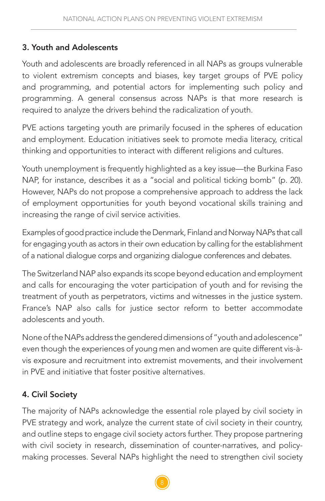#### 3. Youth and Adolescents

Youth and adolescents are broadly referenced in all NAPs as groups vulnerable to violent extremism concepts and biases, key target groups of PVE policy and programming, and potential actors for implementing such policy and programming. A general consensus across NAPs is that more research is required to analyze the drivers behind the radicalization of youth.

PVE actions targeting youth are primarily focused in the spheres of education and employment. Education initiatives seek to promote media literacy, critical thinking and opportunities to interact with different religions and cultures.

Youth unemployment is frequently highlighted as a key issue—the Burkina Faso NAP, for instance, describes it as a "social and political ticking bomb" (p. 20). However, NAPs do not propose a comprehensive approach to address the lack of employment opportunities for youth beyond vocational skills training and increasing the range of civil service activities.

Examples of good practice include the Denmark, Finland and Norway NAPs that call for engaging youth as actors in their own education by calling for the establishment of a national dialogue corps and organizing dialogue conferences and debates.

The Switzerland NAP also expands its scope beyond education and employment and calls for encouraging the voter participation of youth and for revising the treatment of youth as perpetrators, victims and witnesses in the justice system. France's NAP also calls for justice sector reform to better accommodate adolescents and youth.

None of the NAPs address the gendered dimensions of "youth and adolescence" even though the experiences of young men and women are quite different vis-àvis exposure and recruitment into extremist movements, and their involvement in PVE and initiative that foster positive alternatives.

#### 4. Civil Society

The majority of NAPs acknowledge the essential role played by civil society in PVE strategy and work, analyze the current state of civil society in their country, and outline steps to engage civil society actors further. They propose partnering with civil society in research, dissemination of counter-narratives, and policymaking processes. Several NAPs highlight the need to strengthen civil society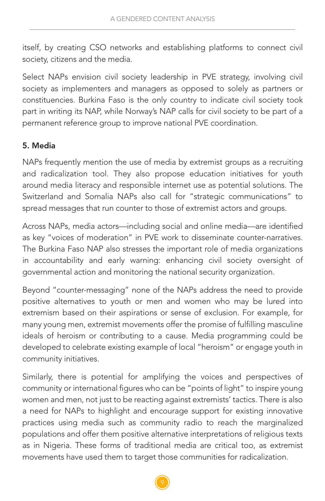itself, by creating CSO networks and establishing platforms to connect civil society, citizens and the media.

Select NAPs envision civil society leadership in PVE strategy, involving civil society as implementers and managers as opposed to solely as partners or constituencies. Burkina Faso is the only country to indicate civil society took part in writing its NAP, while Norway's NAP calls for civil society to be part of a permanent reference group to improve national PVE coordination.

#### 5. Media

NAPs frequently mention the use of media by extremist groups as a recruiting and radicalization tool. They also propose education initiatives for youth around media literacy and responsible internet use as potential solutions. The Switzerland and Somalia NAPs also call for "strategic communications" to spread messages that run counter to those of extremist actors and groups.

Across NAPs, media actors—including social and online media—are identified as key "voices of moderation" in PVE work to disseminate counter-narratives. The Burkina Faso NAP also stresses the important role of media organizations in accountability and early warning: enhancing civil society oversight of governmental action and monitoring the national security organization.

Beyond "counter-messaging" none of the NAPs address the need to provide positive alternatives to youth or men and women who may be lured into extremism based on their aspirations or sense of exclusion. For example, for many young men, extremist movements offer the promise of fulfilling masculine ideals of heroism or contributing to a cause. Media programming could be developed to celebrate existing example of local "heroism" or engage youth in community initiatives.

Similarly, there is potential for amplifying the voices and perspectives of community or international figures who can be "points of light" to inspire young women and men, not just to be reacting against extremists' tactics. There is also a need for NAPs to highlight and encourage support for existing innovative practices using media such as community radio to reach the marginalized populations and offer them positive alternative interpretations of religious texts as in Nigeria. These forms of traditional media are critical too, as extremist movements have used them to target those communities for radicalization.

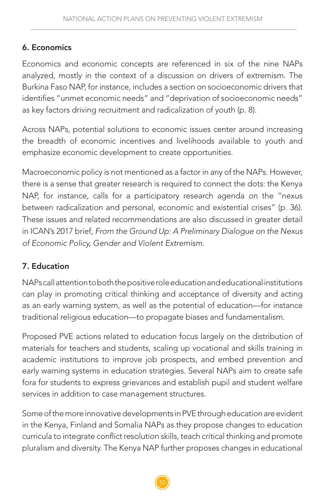#### 6. Economics

Economics and economic concepts are referenced in six of the nine NAPs analyzed, mostly in the context of a discussion on drivers of extremism. The Burkina Faso NAP, for instance, includes a section on socioeconomic drivers that identifies "unmet economic needs" and "deprivation of socioeconomic needs" as key factors driving recruitment and radicalization of youth (p. 8).

Across NAPs, potential solutions to economic issues center around increasing the breadth of economic incentives and livelihoods available to youth and emphasize economic development to create opportunities.

Macroeconomic policy is not mentioned as a factor in any of the NAPs. However, there is a sense that greater research is required to connect the dots: the Kenya NAP, for instance, calls for a participatory research agenda on the "nexus between radicalization and personal, economic and existential crises" (p. 36). These issues and related recommendations are also discussed in greater detail in ICAN's 2017 brief, *From the Ground Up: A Preliminary Dialogue on the Nexus of Economic Policy, Gender and Violent Extremism.* 

#### 7. Education

NAPs call attention to both the positive role education and educational institutions can play in promoting critical thinking and acceptance of diversity and acting as an early warning system, as well as the potential of education—for instance traditional religious education—to propagate biases and fundamentalism.

Proposed PVE actions related to education focus largely on the distribution of materials for teachers and students, scaling up vocational and skills training in academic institutions to improve job prospects, and embed prevention and early warning systems in education strategies. Several NAPs aim to create safe fora for students to express grievances and establish pupil and student welfare services in addition to case management structures.

Some of the more innovative developments in PVE through education are evident in the Kenya, Finland and Somalia NAPs as they propose changes to education curricula to integrate conflict resolution skills, teach critical thinking and promote pluralism and diversity. The Kenya NAP further proposes changes in educational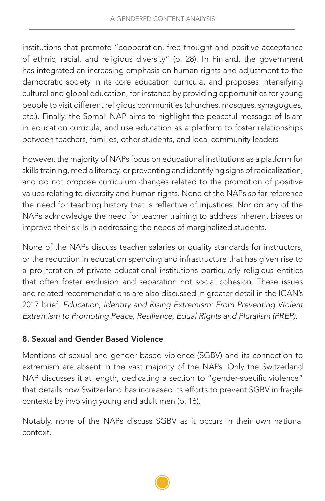institutions that promote "cooperation, free thought and positive acceptance of ethnic, racial, and religious diversity" (p. 28). In Finland, the government has integrated an increasing emphasis on human rights and adjustment to the democratic society in its core education curricula, and proposes intensifying cultural and global education, for instance by providing opportunities for young people to visit different religious communities (churches, mosques, synagogues, etc.). Finally, the Somali NAP aims to highlight the peaceful message of Islam in education curricula, and use education as a platform to foster relationships between teachers, families, other students, and local community leaders

However, the majority of NAPs focus on educational institutions as a platform for skills training, media literacy, or preventing and identifying signs of radicalization, and do not propose curriculum changes related to the promotion of positive values relating to diversity and human rights. None of the NAPs so far reference the need for teaching history that is reflective of injustices. Nor do any of the NAPs acknowledge the need for teacher training to address inherent biases or improve their skills in addressing the needs of marginalized students.

None of the NAPs discuss teacher salaries or quality standards for instructors, or the reduction in education spending and infrastructure that has given rise to a proliferation of private educational institutions particularly religious entities that often foster exclusion and separation not social cohesion. These issues and related recommendations are also discussed in greater detail in the ICAN's 2017 brief, *Education, Identity and Rising Extremism: From Preventing Violent Extremism to Promoting Peace, Resilience, Equal Rights and Pluralism (PREP).*

#### 8. Sexual and Gender Based Violence

Mentions of sexual and gender based violence (SGBV) and its connection to extremism are absent in the vast majority of the NAPs. Only the Switzerland NAP discusses it at length, dedicating a section to "gender-specific violence" that details how Switzerland has increased its efforts to prevent SGBV in fragile contexts by involving young and adult men (p. 16).

Notably, none of the NAPs discuss SGBV as it occurs in their own national context.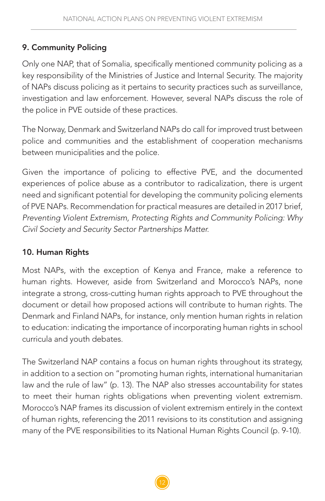#### 9. Community Policing

Only one NAP, that of Somalia, specifically mentioned community policing as a key responsibility of the Ministries of Justice and Internal Security. The majority of NAPs discuss policing as it pertains to security practices such as surveillance, investigation and law enforcement. However, several NAPs discuss the role of the police in PVE outside of these practices.

The Norway, Denmark and Switzerland NAPs do call for improved trust between police and communities and the establishment of cooperation mechanisms between municipalities and the police.

Given the importance of policing to effective PVE, and the documented experiences of police abuse as a contributor to radicalization, there is urgent need and significant potential for developing the community policing elements of PVE NAPs. Recommendation for practical measures are detailed in 2017 brief, *Preventing Violent Extremism, Protecting Rights and Community Policing: Why Civil Society and Security Sector Partnerships Matter.*

#### 10. Human Rights

Most NAPs, with the exception of Kenya and France, make a reference to human rights. However, aside from Switzerland and Morocco's NAPs, none integrate a strong, cross-cutting human rights approach to PVE throughout the document or detail how proposed actions will contribute to human rights. The Denmark and Finland NAPs, for instance, only mention human rights in relation to education: indicating the importance of incorporating human rights in school curricula and youth debates.

The Switzerland NAP contains a focus on human rights throughout its strategy, in addition to a section on "promoting human rights, international humanitarian law and the rule of law" (p. 13). The NAP also stresses accountability for states to meet their human rights obligations when preventing violent extremism. Morocco's NAP frames its discussion of violent extremism entirely in the context of human rights, referencing the 2011 revisions to its constitution and assigning many of the PVE responsibilities to its National Human Rights Council (p. 9-10).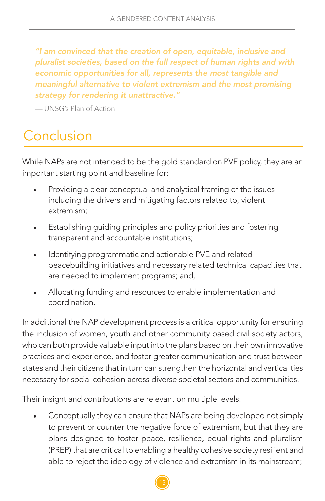*"I am convinced that the creation of open, equitable, inclusive and pluralist societies, based on the full respect of human rights and with economic opportunities for all, represents the most tangible and meaningful alternative to violent extremism and the most promising strategy for rendering it unattractive."* 

— UNSG's Plan of Action

# Conclusion

While NAPs are not intended to be the gold standard on PVE policy, they are an important starting point and baseline for:

- Providing a clear conceptual and analytical framing of the issues including the drivers and mitigating factors related to, violent extremism;
- Establishing quiding principles and policy priorities and fostering transparent and accountable institutions;
- Identifying programmatic and actionable PVE and related peacebuilding initiatives and necessary related technical capacities that are needed to implement programs; and,
- Allocating funding and resources to enable implementation and coordination.

In additional the NAP development process is a critical opportunity for ensuring the inclusion of women, youth and other community based civil society actors, who can both provide valuable input into the plans based on their own innovative practices and experience, and foster greater communication and trust between states and their citizens that in turn can strengthen the horizontal and vertical ties necessary for social cohesion across diverse societal sectors and communities.

Their insight and contributions are relevant on multiple levels:

Conceptually they can ensure that NAPs are being developed not simply to prevent or counter the negative force of extremism, but that they are plans designed to foster peace, resilience, equal rights and pluralism (PREP) that are critical to enabling a healthy cohesive society resilient and able to reject the ideology of violence and extremism in its mainstream;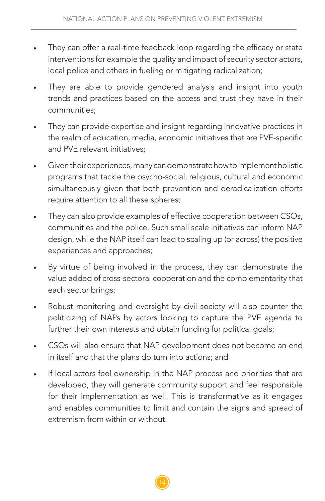- They can offer a real-time feedback loop regarding the efficacy or state interventions for example the quality and impact of security sector actors, local police and others in fueling or mitigating radicalization;
- They are able to provide gendered analysis and insight into youth trends and practices based on the access and trust they have in their communities;
- They can provide expertise and insight regarding innovative practices in the realm of education, media, economic initiatives that are PVE-specific and PVE relevant initiatives;
- Given their experiences, many can demonstrate how to implement holistic programs that tackle the psycho-social, religious, cultural and economic simultaneously given that both prevention and deradicalization efforts require attention to all these spheres;
- They can also provide examples of effective cooperation between CSOs, communities and the police. Such small scale initiatives can inform NAP design, while the NAP itself can lead to scaling up (or across) the positive experiences and approaches;
- By virtue of being involved in the process, they can demonstrate the value added of cross-sectoral cooperation and the complementarity that each sector brings;
- Robust monitoring and oversight by civil society will also counter the politicizing of NAPs by actors looking to capture the PVE agenda to further their own interests and obtain funding for political goals;
- CSOs will also ensure that NAP development does not become an end in itself and that the plans do turn into actions; and
- If local actors feel ownership in the NAP process and priorities that are developed, they will generate community support and feel responsible for their implementation as well. This is transformative as it engages and enables communities to limit and contain the signs and spread of extremism from within or without.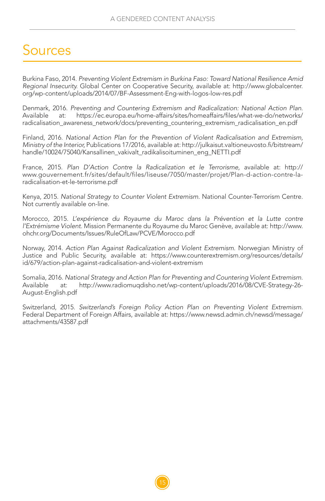# Sources

Burkina Faso, 2014. *Preventing Violent Extremism in Burkina Faso: Toward National Resilience Amid Regional Insecurity.* Global Center on Cooperative Security, available at: http://www.globalcenter. org/wp-content/uploads/2014/07/BF-Assessment-Eng-with-logos-low-res.pdf

Denmark, 2016. *Preventing and Countering Extremism and Radicalization: National Action Plan*. Available at: https://ec.europa.eu/home-affairs/sites/homeaffairs/files/what-we-do/networks/ radicalisation\_awareness\_network/docs/preventing\_countering\_extremism\_radicalisation\_en.pdf

Finland, 2016. *National Action Plan for the Prevention of Violent Radicalisation and Extremism, Ministry of the Interior,* Publications 17/2016, available at: http://julkaisut.valtioneuvosto.fi/bitstream/ handle/10024/75040/Kansallinen\_vakivalt\_radikalisoituminen\_eng\_NETTI.pdf

France, 2015. *Plan D'Action Contre la Radicalization et le Terrorisme,* available at: http:// www.gouvernement.fr/sites/default/files/liseuse/7050/master/projet/Plan-d-action-contre-laradicalisation-et-le-terrorisme.pdf

Kenya, 2015. *National Strategy to Counter Violent Extremism.* National Counter-Terrorism Centre. Not currently available on-line.

Morocco, 2015. *L'expérience du Royaume du Maroc dans la Prévention et la Lutte contre l'Extrémisme Violent.* Mission Permanente du Royaume du Maroc Genève, available at: http://www. ohchr.org/Documents/Issues/RuleOfLaw/PCVE/Morocco.pdf

Norway, 2014. *Action Plan Against Radicalization and Violent Extremism.* Norwegian Ministry of Justice and Public Security, available at: https://www.counterextremism.org/resources/details/ id/679/action-plan-against-radicalisation-and-violent-extremism

Somalia, 2016. *National Strategy and Action Plan for Preventing and Countering Violent Extremism.*  Available at: http://www.radiomuqdisho.net/wp-content/uploads/2016/08/CVE-Strategy-26- August-English.pdf

Switzerland, 2015. *Switzerland's Foreign Policy Action Plan on Preventing Violent Extremism.*  Federal Department of Foreign Affairs, available at: https://www.newsd.admin.ch/newsd/message/ attachments/43587.pdf